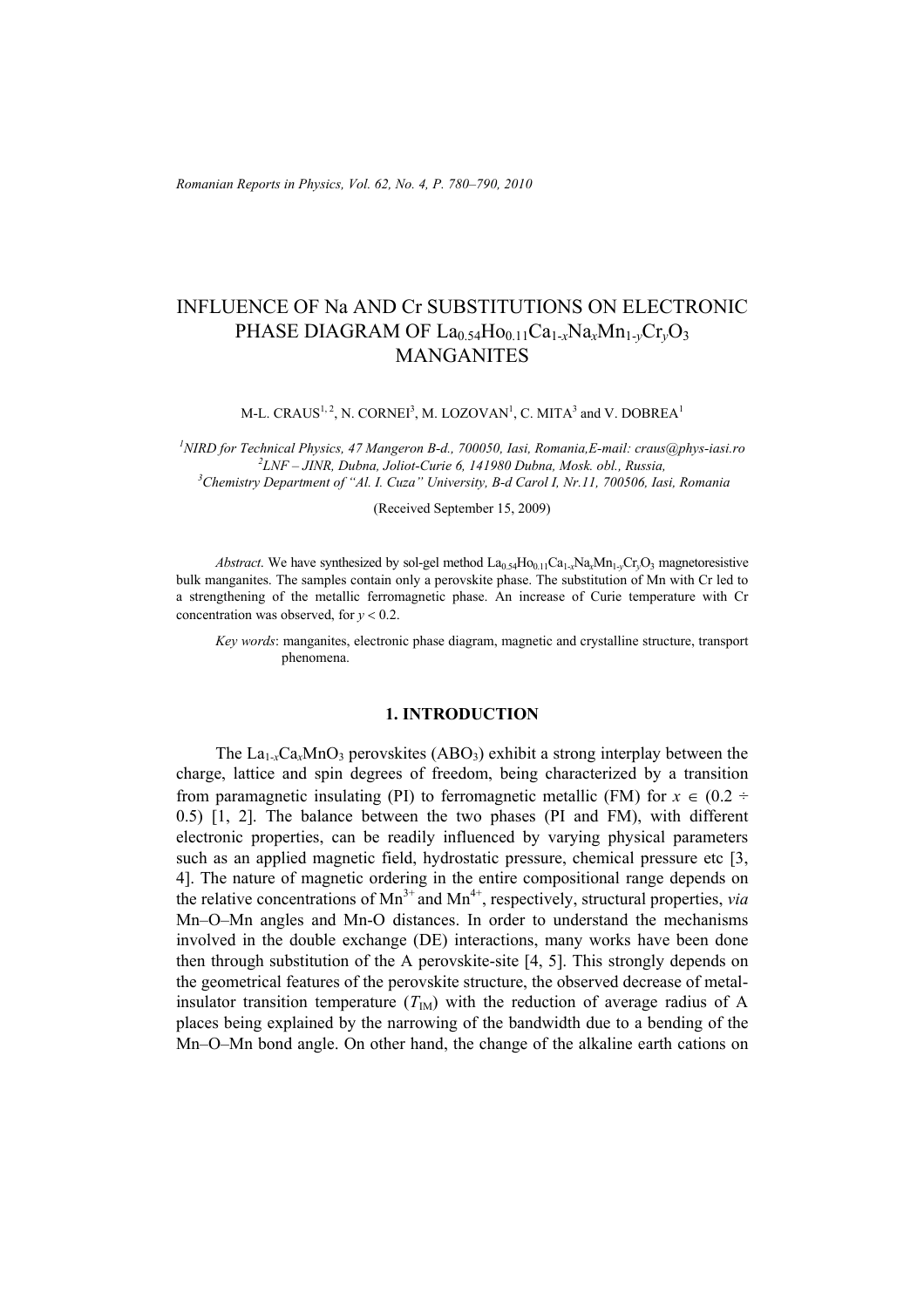# INFLUENCE OF Na AND Cr SUBSTITUTIONS ON ELECTRONIC PHASE DIAGRAM OF La<sub>0.54</sub>Ho<sub>0.11</sub>Ca<sub>1-x</sub>Na<sub>x</sub>Mn<sub>1-v</sub>Cr<sub>v</sub>O<sub>3</sub> MANGANITES

M-L. CRAUS<sup>1, 2</sup>, N. CORNEI<sup>3</sup>, M. LOZOVAN<sup>1</sup>, C. MITA<sup>3</sup> and V. DOBREA<sup>1</sup>

*1 NIRD for Technical Physics, 47 Mangeron B-d., 700050, Iasi, Romania,E-mail: craus@phys-iasi.ro 2 LNF – JINR, Dubna, Joliot-Curie 6, 141980 Dubna, Mosk. obl., Russia, 3 Chemistry Department of "Al. I. Cuza" University, B-d Carol I, Nr.11, 700506, Iasi, Romania*

(Received September 15, 2009)

*Abstract*. We have synthesized by sol-gel method  $La_{0.54}Ho_{0.11}Ca_{1-x}Na_xMn_{1-x}Cr_xO_3$  magnetoresistive bulk manganites. The samples contain only a perovskite phase. The substitution of Mn with Cr led to a strengthening of the metallic ferromagnetic phase. An increase of Curie temperature with Cr concentration was observed, for  $y < 0.2$ .

*Key words*: manganites, electronic phase diagram, magnetic and crystalline structure, transport phenomena.

### **1. INTRODUCTION**

The  $La<sub>1-x</sub>Ca<sub>x</sub>MnO<sub>3</sub>$  perovskites (ABO<sub>3</sub>) exhibit a strong interplay between the charge, lattice and spin degrees of freedom, being characterized by a transition from paramagnetic insulating (PI) to ferromagnetic metallic (FM) for  $x \in (0.2 \div 1.5)$ 0.5) [1, 2]. The balance between the two phases (PI and FM), with different electronic properties, can be readily influenced by varying physical parameters such as an applied magnetic field, hydrostatic pressure, chemical pressure etc [3, 4]. The nature of magnetic ordering in the entire compositional range depends on the relative concentrations of  $Mn^{3+}$  and  $Mn^{4+}$ , respectively, structural properties, *via* Mn–O–Mn angles and Mn-O distances. In order to understand the mechanisms involved in the double exchange (DE) interactions, many works have been done then through substitution of the A perovskite-site [4, 5]. This strongly depends on the geometrical features of the perovskite structure, the observed decrease of metalinsulator transition temperature  $(T_{\text{IM}})$  with the reduction of average radius of A places being explained by the narrowing of the bandwidth due to a bending of the Mn–O–Mn bond angle. On other hand, the change of the alkaline earth cations on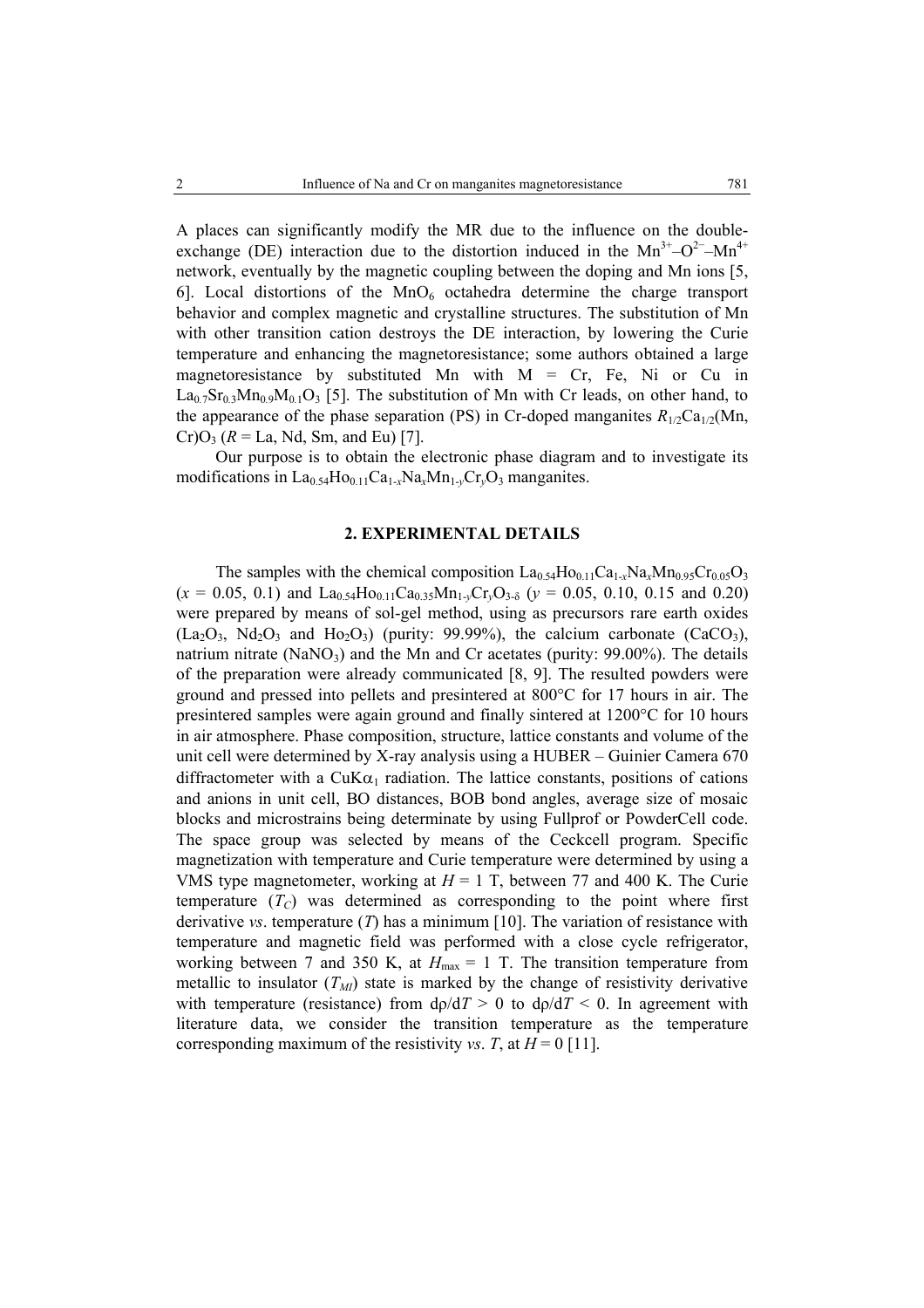A places can significantly modify the MR due to the influence on the doubleexchange (DE) interaction due to the distortion induced in the Mn<sup>3+</sup>–O<sup>2−</sup>–Mn<sup>4+</sup> network, eventually by the magnetic coupling between the doping and Mn ions [5, 6]. Local distortions of the  $MnO<sub>6</sub>$  octahedra determine the charge transport behavior and complex magnetic and crystalline structures. The substitution of Mn with other transition cation destroys the DE interaction, by lowering the Curie temperature and enhancing the magnetoresistance; some authors obtained a large magnetoresistance by substituted Mn with  $M = Cr$ , Fe, Ni or Cu in  $La<sub>0.7</sub>Sr<sub>0.3</sub>Mn<sub>0.9</sub>M<sub>0.1</sub>O<sub>3</sub>$  [5]. The substitution of Mn with Cr leads, on other hand, to the appearance of the phase separation (PS) in Cr-doped manganites  $R_{1/2}Ca_{1/2}(Mn)$ ,  $Cr)O_3$  ( $R = La$ , Nd, Sm, and Eu) [7].

Our purpose is to obtain the electronic phase diagram and to investigate its modifications in  $La<sub>0.54</sub>Ho<sub>0.11</sub>Ca<sub>1-x</sub>Na<sub>x</sub>Mn<sub>1-y</sub>Cr<sub>y</sub>O<sub>3</sub> manganites.$ 

## **2. EXPERIMENTAL DETAILS**

The samples with the chemical composition  $La_{0.54}Ho_{0.11}Ca_{1-x}Na_xMn_{0.95}Cr_{0.05}O_3$  $(x = 0.05, 0.1)$  and  $La<sub>0.54</sub>Ho<sub>0.11</sub>Ca<sub>0.35</sub>Mn<sub>1-y</sub>Cr<sub>y</sub>O<sub>3-\delta</sub>$  ( $y = 0.05, 0.10, 0.15$  and 0.20) were prepared by means of sol-gel method, using as precursors rare earth oxides  $(La<sub>2</sub>O<sub>3</sub>, Nd<sub>2</sub>O<sub>3</sub>$  and Ho<sub>2</sub>O<sub>3</sub>) (purity: 99.99%), the calcium carbonate (CaCO<sub>3</sub>), natrium nitrate  $(NaNO<sub>3</sub>)$  and the Mn and Cr acetates (purity: 99.00%). The details of the preparation were already communicated [8, 9]. The resulted powders were ground and pressed into pellets and presintered at 800°C for 17 hours in air. The presintered samples were again ground and finally sintered at 1200°C for 10 hours in air atmosphere. Phase composition, structure, lattice constants and volume of the unit cell were determined by X-ray analysis using a HUBER – Guinier Camera 670 diffractometer with a CuK $\alpha_1$  radiation. The lattice constants, positions of cations and anions in unit cell, BO distances, BOB bond angles, average size of mosaic blocks and microstrains being determinate by using Fullprof or PowderCell code. The space group was selected by means of the Ceckcell program. Specific magnetization with temperature and Curie temperature were determined by using a VMS type magnetometer, working at  $H = 1$  T, between 77 and 400 K. The Curie temperature  $(T_C)$  was determined as corresponding to the point where first derivative *vs*. temperature (*T*) has a minimum [10]. The variation of resistance with temperature and magnetic field was performed with a close cycle refrigerator, working between 7 and 350 K, at  $H_{\text{max}} = 1$  T. The transition temperature from metallic to insulator  $(T_M)$  state is marked by the change of resistivity derivative with temperature (resistance) from  $d\rho/dT > 0$  to  $d\rho/dT < 0$ . In agreement with literature data, we consider the transition temperature as the temperature corresponding maximum of the resistivity *vs*. *T*, at  $H = 0$  [11].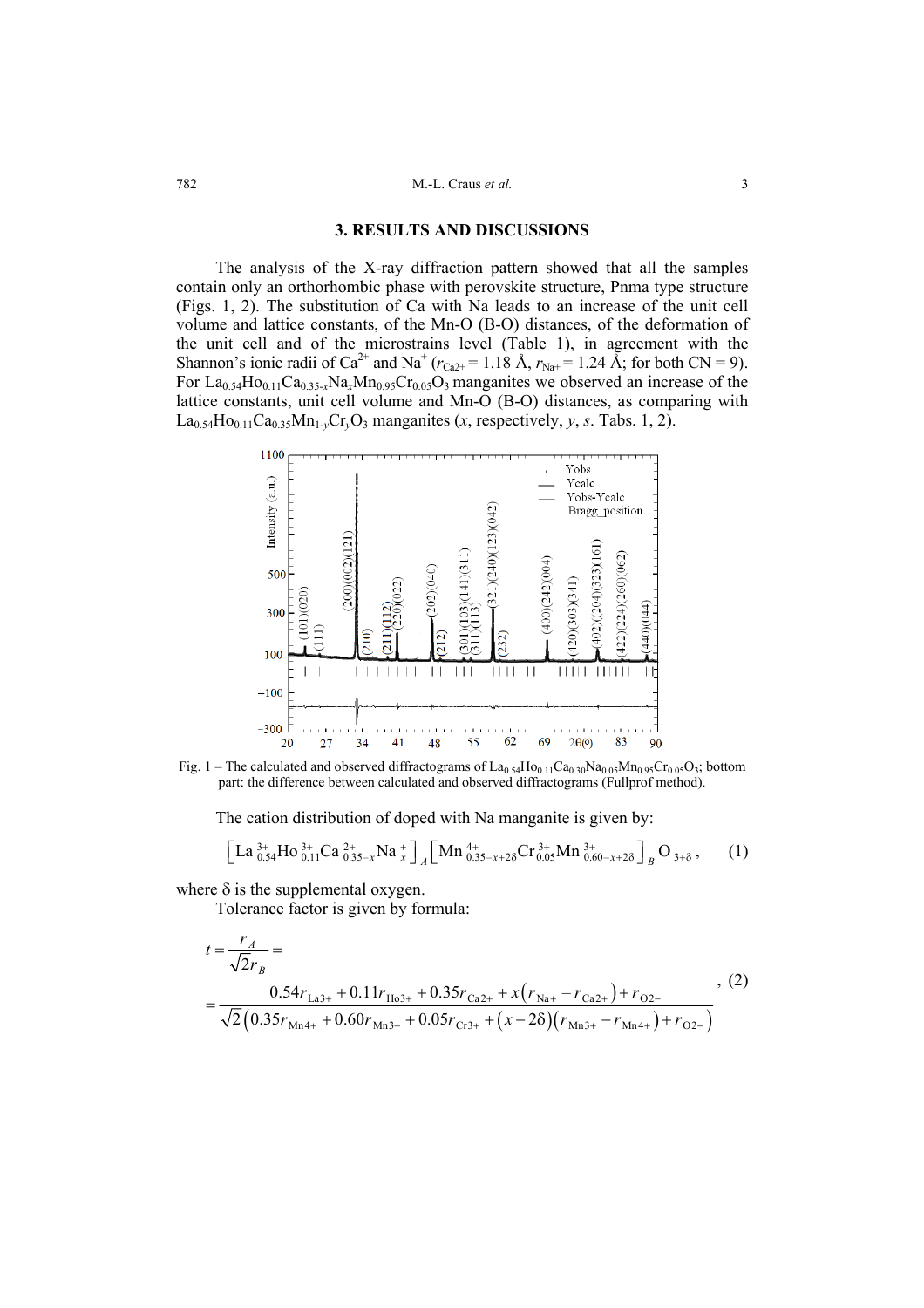#### **3. RESULTS AND DISCUSSIONS**

The analysis of the X-ray diffraction pattern showed that all the samples contain only an orthorhombic phase with perovskite structure, Pnma type structure (Figs. 1, 2). The substitution of Ca with Na leads to an increase of the unit cell volume and lattice constants, of the Mn-O (B-O) distances, of the deformation of the unit cell and of the microstrains level (Table 1), in agreement with the Shannon's ionic radii of Ca<sup>2+</sup> and Na<sup>+</sup> ( $r_{Ca2+} = 1.18$  Å,  $r_{Na+} = 1.24$  Å; for both CN = 9). For  $La<sub>0.54</sub>Ho<sub>0.11</sub>Ca<sub>0.35-x</sub>Na<sub>x</sub>Mn<sub>0.95</sub>Cr<sub>0.05</sub>O<sub>3</sub> manganites we observed an increase of the$ lattice constants, unit cell volume and Mn-O (B-O) distances, as comparing with  $La<sub>0.54</sub>Ho<sub>0.11</sub>Ca<sub>0.35</sub>Mn<sub>1\nu</sub>Cr<sub>v</sub>O<sub>3</sub> manganites (*x*, respectively, *y*, *s*. Tabs. 1, 2).$ 



Fig. 1 – The calculated and observed diffractograms of  $La_{0.54}Ho_{0.11}Ca_{0.30}Na_{0.05}Mn_{0.95}Cr_{0.05}O_3$ ; bottom part: the difference between calculated and observed diffractograms (Fullprof method).

The cation distribution of doped with Na manganite is given by:

$$
\left[ La_{0.54}^{3+} Ho_{0.11}^{3+} Ca_{0.35-x}^{2+} Na_{x}^{+}\right]_{A}\left[ Mn_{0.35-x+2\delta}^{4+} Cr_{0.05}^{3+} Mn_{0.60-x+2\delta}^{3+}\right]_{B}O_{3+\delta},\qquad(1)
$$

where  $\delta$  is the supplemental oxygen.

Tolerance factor is given by formula:

$$
t = \frac{r_A}{\sqrt{2}r_B} = \frac{0.54r_{La3+} + 0.11r_{Ho3+} + 0.35r_{Ca2+} + x(r_{Na+} - r_{Ca2+}) + r_{O2-}}{ \sqrt{2}(0.35r_{Mn4+} + 0.60r_{Mn3+} + 0.05r_{Cr3+} + (x - 2\delta)(r_{Mn3+} - r_{Mn4+}) + r_{O2-})},
$$
\n(2)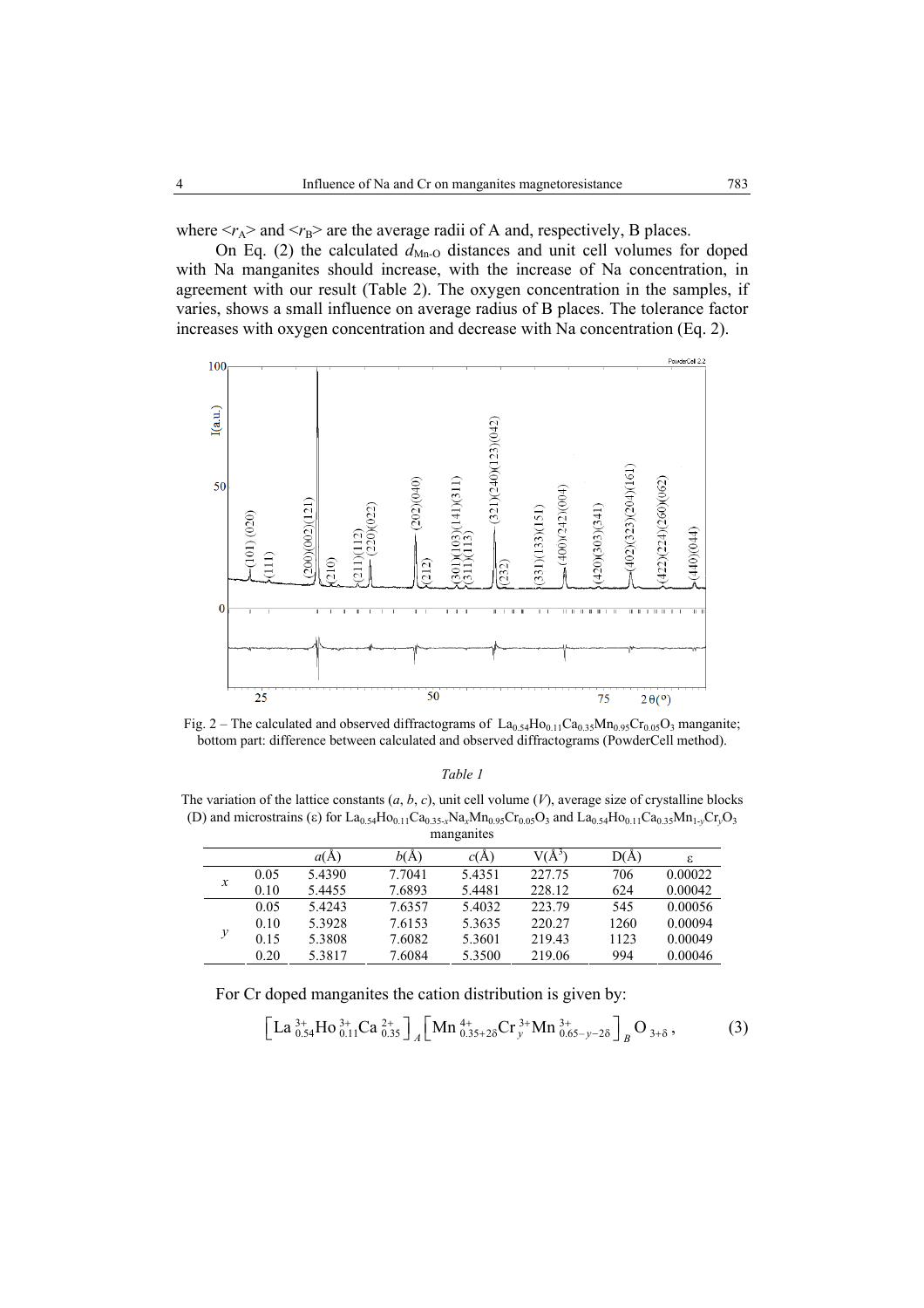where  $\langle r_A \rangle$  and  $\langle r_B \rangle$  are the average radii of A and, respectively, B places.

On Eq. (2) the calculated  $d_{Mn-0}$  distances and unit cell volumes for doped with Na manganites should increase, with the increase of Na concentration, in agreement with our result (Table 2). The oxygen concentration in the samples, if varies, shows a small influence on average radius of B places. The tolerance factor increases with oxygen concentration and decrease with Na concentration (Eq. 2).



Fig. 2 – The calculated and observed diffractograms of  $La_{0.54}Ho_{0.11}Ca_{0.35}Mn_{0.95}Cr_{0.05}O_3$  manganite; bottom part: difference between calculated and observed diffractograms (PowderCell method).

#### *Table 1*

The variation of the lattice constants (*a*, *b*, *c*), unit cell volume (*V*), average size of crystalline blocks (D) and microstrains (ε) for La<sub>0.54</sub>Ho<sub>0.11</sub>Ca<sub>0.35-*x*Na<sub>*xMn*0.95</sub>Cr<sub>0.05</sub>O<sub>3</sub> and La<sub>0.54</sub>Ho<sub>0.11</sub>Ca<sub>0.35</sub>Mn<sub>1-*y*</sub>Cr<sub>*y*</sub>O<sub>3</sub></sub> manganites

|                     |      | a(A)   | b(A)   | c(A)   | $V(\rm{\AA}^3$ | D(Å) | ε       |
|---------------------|------|--------|--------|--------|----------------|------|---------|
| $\boldsymbol{\chi}$ | 0.05 | 5.4390 | 7.7041 | 5.4351 | 227.75         | 706  | 0.00022 |
|                     | 0.10 | 5.4455 | 7.6893 | 5.4481 | 228.12         | 624  | 0.00042 |
| $\mathcal{Y}$       | 0.05 | 54243  | 7.6357 | 5.4032 | 223.79         | 545  | 0.00056 |
|                     | 0.10 | 5.3928 | 7.6153 | 5.3635 | 220.27         | 1260 | 0.00094 |
|                     | 0.15 | 5.3808 | 7.6082 | 5.3601 | 219.43         | 1123 | 0.00049 |
|                     | 0.20 | 5.3817 | 7.6084 | 5.3500 | 219.06         | 994  | 0.00046 |

For Cr doped manganites the cation distribution is given by:

$$
\left[ La_{0.54}^{3+} Ho_{0.11}^{3+} Ca_{0.35}^{2+} \right]_A \left[ Mn_{0.35+2\delta}^{4+} Cr_y^{3+} Mn_{0.65-y-2\delta}^{3+} \right]_B O_{3+\delta} ,\tag{3}
$$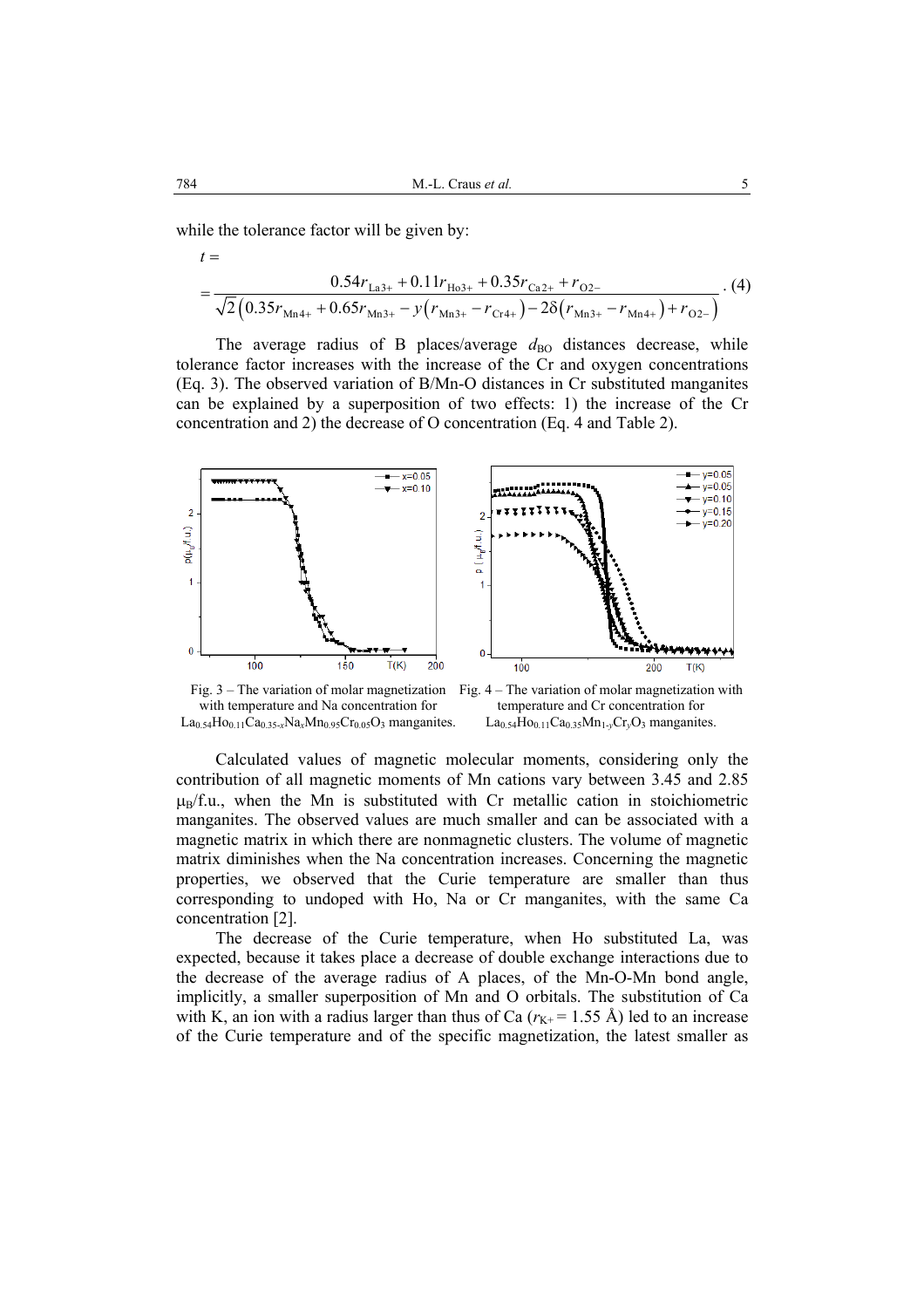while the tolerance factor will be given by:

$$
=\frac{0.54r_{\text{La3+}}+0.11r_{\text{Ho3+}}+0.35r_{\text{Ca2+}}+r_{\text{O2-}}}{\sqrt{2}\left(0.35r_{\text{Mn4+}}+0.65r_{\text{Mn3+}}-y\left(r_{\text{Mn3+}}-r_{\text{Cr4+}}\right)-2\delta\left(r_{\text{Mn3+}}-r_{\text{Mn4+}}\right)+r_{\text{O2-}}\right)}\tag{4}
$$

The average radius of B places/average  $d_{\text{BO}}$  distances decrease, while tolerance factor increases with the increase of the Cr and oxygen concentrations (Eq. 3). The observed variation of B/Mn-O distances in Cr substituted manganites can be explained by a superposition of two effects: 1) the increase of the Cr concentration and 2) the decrease of O concentration (Eq. 4 and Table 2).



with temperature and Na concentration for  $La_{0.54}Ho_{0.11}Ca_{0.35-x}Na_xMn_{0.95}Cr_{0.05}O_3$  manganites.

Fig. 3 – The variation of molar magnetization Fig. 4 – The variation of molar magnetization with temperature and Cr concentration for  $La_{0.54}Ho_{0.11}Ca_{0.35}Mn_{1\nu}Cr_{\nu}O_3$  manganites.

Calculated values of magnetic molecular moments, considering only the contribution of all magnetic moments of Mn cations vary between 3.45 and 2.85  $\mu_B/f.u.,$  when the Mn is substituted with Cr metallic cation in stoichiometric manganites. The observed values are much smaller and can be associated with a magnetic matrix in which there are nonmagnetic clusters. The volume of magnetic matrix diminishes when the Na concentration increases. Concerning the magnetic properties, we observed that the Curie temperature are smaller than thus corresponding to undoped with Ho, Na or Cr manganites, with the same Ca concentration [2].

The decrease of the Curie temperature, when Ho substituted La, was expected, because it takes place a decrease of double exchange interactions due to the decrease of the average radius of A places, of the Mn-O-Mn bond angle, implicitly, a smaller superposition of Mn and O orbitals. The substitution of Ca with K, an ion with a radius larger than thus of Ca  $(r_{K+} = 1.55 \text{ Å})$  led to an increase of the Curie temperature and of the specific magnetization, the latest smaller as

 $t =$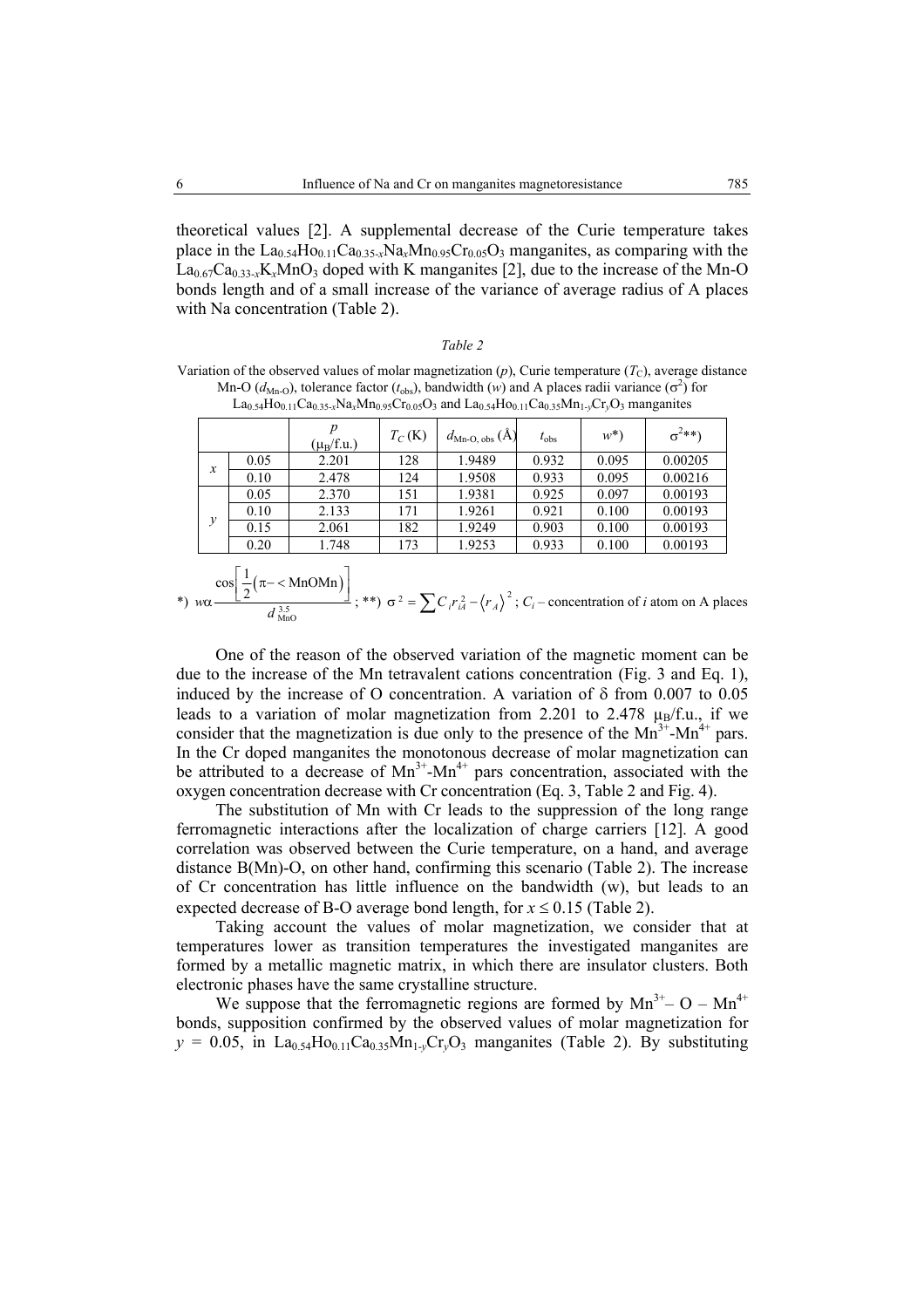theoretical values [2]. A supplemental decrease of the Curie temperature takes place in the  $La<sub>0.54</sub>Ho<sub>0.11</sub>Ca<sub>0.35-x</sub>Na<sub>x</sub>Mn<sub>0.95</sub>Cr<sub>0.05</sub>O<sub>3</sub> manganites, as comparing with the$  $La<sub>0.67</sub>Ca<sub>0.33-x</sub>K<sub>x</sub>MnO<sub>3</sub>$  doped with K manganites [2], due to the increase of the Mn-O bonds length and of a small increase of the variance of average radius of A places with Na concentration (Table 2).

#### *Table 2*

Variation of the observed values of molar magnetization  $(p)$ , Curie temperature  $(T_c)$ , average distance Mn-O ( $d_{\text{Mn-O}}$ ), tolerance factor ( $t_{\text{obs}}$ ), bandwidth (*w*) and A places radii variance ( $\sigma^2$ ) for  $La_{0.54}Ho_{0.11}Ca_{0.35-x}Na_xMn_{0.95}Cr_{0.05}O_3$  and  $La_{0.54}Ho_{0.11}Ca_{0.35}Mn_{1-y}Cr_vO_3$  manganites

|                  |      | $(\mu_B/f.u.)$ | $T_C(K)$ | $d_{\textrm{Mn-O, obs}}(\textrm{Å})$ | $t_{\rm obs}$ | $w^*$ | $\sigma^{2**}$ |
|------------------|------|----------------|----------|--------------------------------------|---------------|-------|----------------|
| $\boldsymbol{x}$ | 0.05 | 2.201          | 128      | 1.9489                               | 0.932         | 0.095 | 0.00205        |
|                  | 0.10 | 2.478          | 124      | 1.9508                               | 0.933         | 0.095 | 0.00216        |
| $\mathcal{Y}$    | 0.05 | 2.370          | 151      | 1.9381                               | 0.925         | 0.097 | 0.00193        |
|                  | 0.10 | 2.133          | 171      | 1.9261                               | 0.921         | 0.100 | 0.00193        |
|                  | 0.15 | 2.061          | 182      | 1.9249                               | 0.903         | 0.100 | 0.00193        |
|                  | 0.20 | 1.748          | 173      | 1.9253                               | 0.933         | 0.100 | 0.00193        |

$$
\text{two} \quad \frac{\cos\left(\frac{1}{2}(\pi - \langle \text{MnOMn} \rangle)\right)}{d_{\text{MnO}}^{3.5}}; \text{**}\right) \quad \sigma^2 = \sum C_i r_{iA}^2 - \langle r_A \rangle^2; \ C_i - \text{concentration of } i \text{ atom on A places}
$$

One of the reason of the observed variation of the magnetic moment can be due to the increase of the Mn tetravalent cations concentration (Fig. 3 and Eq. 1), induced by the increase of O concentration. A variation of δ from 0.007 to 0.05 leads to a variation of molar magnetization from 2.201 to 2.478  $\mu_B/f.u.,$  if we consider that the magnetization is due only to the presence of the  $Mn^{3+}$ - $Mn^{4+}$  pars. In the Cr doped manganites the monotonous decrease of molar magnetization can be attributed to a decrease of  $Mn^{3+}$ - $Mn^{4+}$  pars concentration, associated with the oxygen concentration decrease with Cr concentration (Eq. 3, Table 2 and Fig. 4).

The substitution of Mn with Cr leads to the suppression of the long range ferromagnetic interactions after the localization of charge carriers [12]. A good correlation was observed between the Curie temperature, on a hand, and average distance B(Mn)-O, on other hand, confirming this scenario (Table 2). The increase of Cr concentration has little influence on the bandwidth (w), but leads to an expected decrease of B-O average bond length, for  $x \le 0.15$  (Table 2).

Taking account the values of molar magnetization, we consider that at temperatures lower as transition temperatures the investigated manganites are formed by a metallic magnetic matrix, in which there are insulator clusters. Both electronic phases have the same crystalline structure.

We suppose that the ferromagnetic regions are formed by  $Mn^{3+}$ – O –  $Mn^{4+}$ bonds, supposition confirmed by the observed values of molar magnetization for  $y = 0.05$ , in La<sub>0.54</sub>Ho<sub>0.11</sub>Ca<sub>0.35</sub>Mn<sub>1</sub>- $y$ Cr<sub> $y$ </sub>O<sub>3</sub> manganites (Table 2). By substituting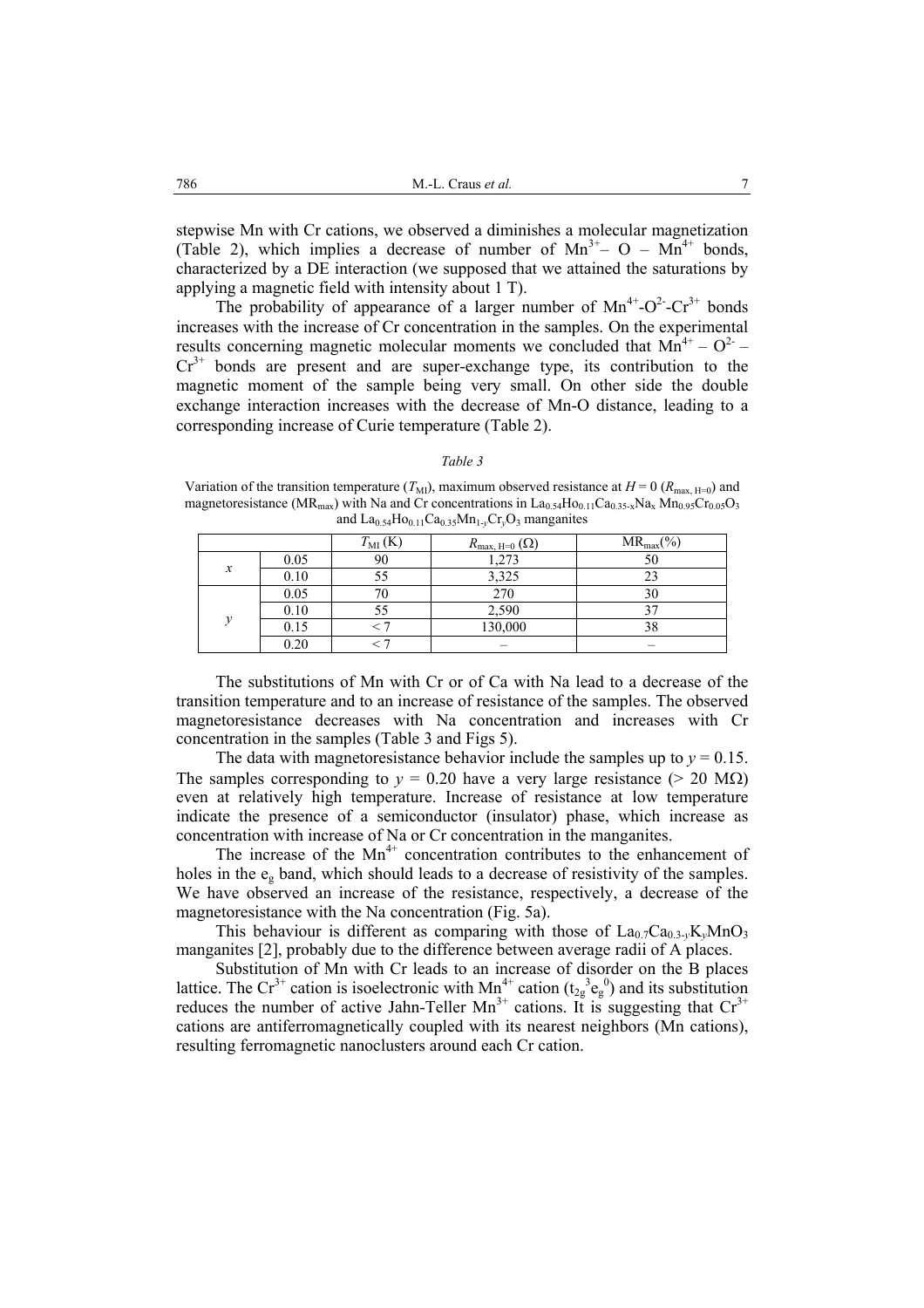stepwise Mn with Cr cations, we observed a diminishes a molecular magnetization (Table 2), which implies a decrease of number of  $Mn^{3+}$ – O –  $Mn^{4+}$  bonds, characterized by a DE interaction (we supposed that we attained the saturations by applying a magnetic field with intensity about 1 T).

The probability of appearance of a larger number of  $Mn^{4+}$ -O<sup>2</sup>-Cr<sup>3+</sup> bonds increases with the increase of Cr concentration in the samples. On the experimental results concerning magnetic molecular moments we concluded that  $Mn^{4+} - O^2$  –  $Cr^{3+}$  bonds are present and are super-exchange type, its contribution to the magnetic moment of the sample being very small. On other side the double exchange interaction increases with the decrease of Mn-O distance, leading to a corresponding increase of Curie temperature (Table 2).

#### *Table 3*

Variation of the transition temperature  $(T_M)$ , maximum observed resistance at  $H = 0$  ( $R_{\text{max H=0}}$ ) and magnetoresistance (MR<sub>max</sub>) with Na and Cr concentrations in  $La_{0.54}Ho_{0.11}Ca_{0.35-x}Na_x Mn_{0.95}Cr_{0.05}O_3$ and  $La<sub>0.54</sub>Ho<sub>0.11</sub>Ca<sub>0.35</sub>Mn<sub>1\nu</sub>Cr<sub>v</sub>O<sub>3</sub> manganites$ 

|                  |           | $T_{\text{MI}}\left(\text{K}\right)$ | $R_{\text{max, H=0}}(\Omega)$ | $MR_{max}(\% )$ |
|------------------|-----------|--------------------------------------|-------------------------------|-----------------|
| $\boldsymbol{x}$ | 0.05      | 90                                   | 1,273                         | 50              |
|                  | 0.10      |                                      | 3,325                         |                 |
|                  | 0.05      |                                      | 270                           | 30              |
| $\mathbf{1}$     | 0.10      |                                      | 2,590                         |                 |
|                  | 0.15      |                                      | 130,000                       |                 |
|                  | $_{0.20}$ |                                      |                               |                 |

The substitutions of Mn with Cr or of Ca with Na lead to a decrease of the transition temperature and to an increase of resistance of the samples. The observed magnetoresistance decreases with Na concentration and increases with Cr concentration in the samples (Table 3 and Figs 5).

The data with magnetoresistance behavior include the samples up to  $y = 0.15$ . The samples corresponding to  $y = 0.20$  have a very large resistance ( $> 20$  M $\Omega$ ) even at relatively high temperature. Increase of resistance at low temperature indicate the presence of a semiconductor (insulator) phase, which increase as concentration with increase of Na or Cr concentration in the manganites.

The increase of the  $Mn^{4+}$  concentration contributes to the enhancement of holes in the eg band, which should leads to a decrease of resistivity of the samples. We have observed an increase of the resistance, respectively, a decrease of the magnetoresistance with the Na concentration (Fig. 5a).

This behaviour is different as comparing with those of  $La_{0.7}Ca_{0.3}$ <sub>*y*</sub>K<sub>*y*</sub>MnO<sub>3</sub> manganites [2], probably due to the difference between average radii of A places.

Substitution of Mn with Cr leads to an increase of disorder on the B places lattice. The Cr<sup>3+</sup> cation is isoelectronic with Mn<sup>4+</sup> cation ( $t_{2g}^3e_g^0$ ) and its substitution reduces the number of active Jahn-Teller Mn<sup>3+</sup> cations. It is suggesting that  $Cr^{3+}$ cations are antiferromagnetically coupled with its nearest neighbors (Mn cations), resulting ferromagnetic nanoclusters around each Cr cation.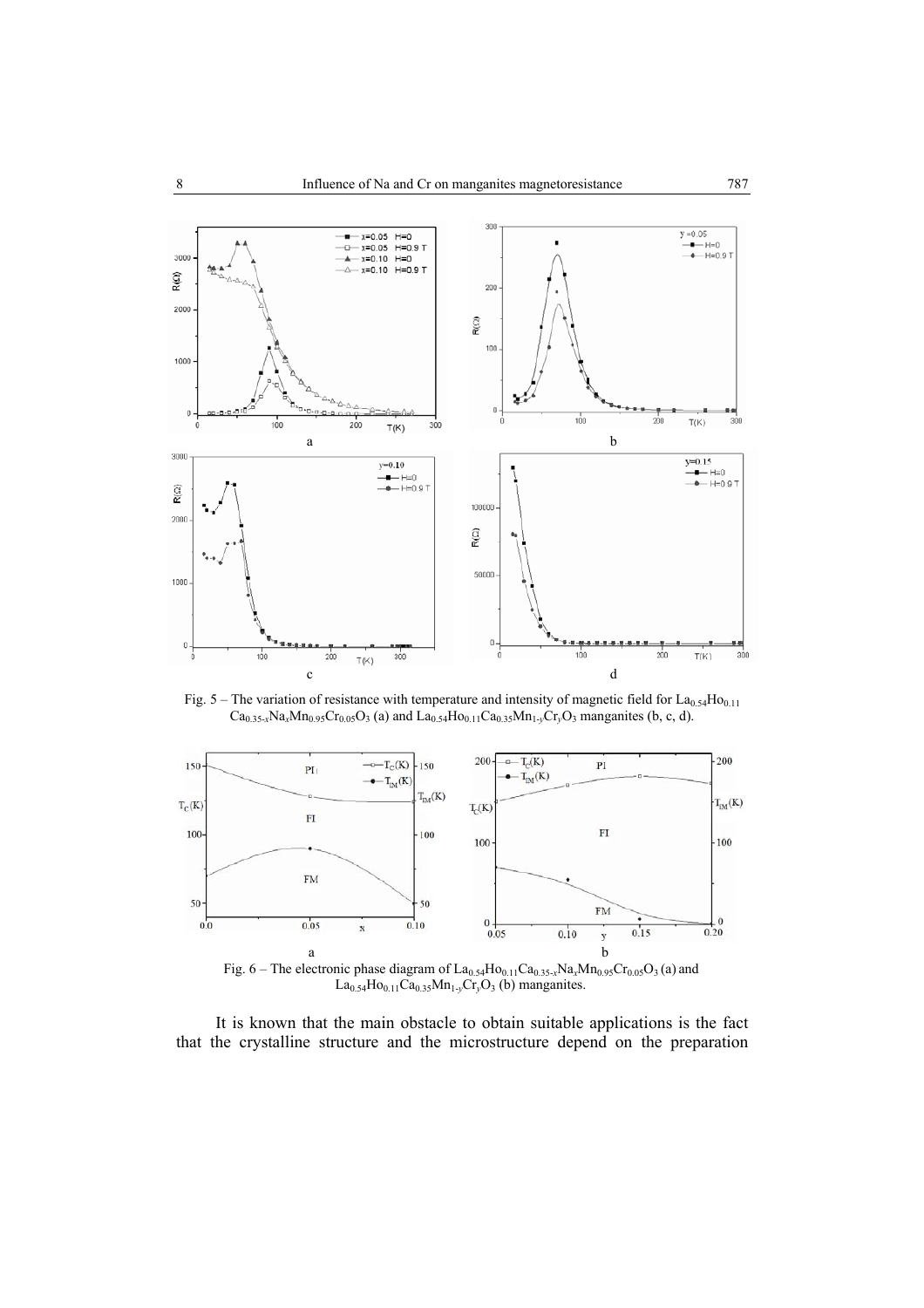

Fig. 5 – The variation of resistance with temperature and intensity of magnetic field for  $La<sub>0.54</sub>Ho<sub>0.11</sub>$  $Ca_{0.35-x}Na_xMn_{0.95}Cr_{0.05}O_3$  (a) and  $La_{0.54}Ho_{0.11}Ca_{0.35}Mn_{1-y}Cr_yO_3$  manganites (b, c, d).



Fig. 6 – The electronic phase diagram of  $La_{0.54}Ho_{0.11}Ca_{0.35-x}Na_xMn_{0.95}Cr_{0.05}O_3$  (a) and  $La_{0.54}Ho_{0.11}Ca_{0.35}Mn_{1-y}Cr_yO_3$  (b) manganites.

It is known that the main obstacle to obtain suitable applications is the fact that the crystalline structure and the microstructure depend on the preparation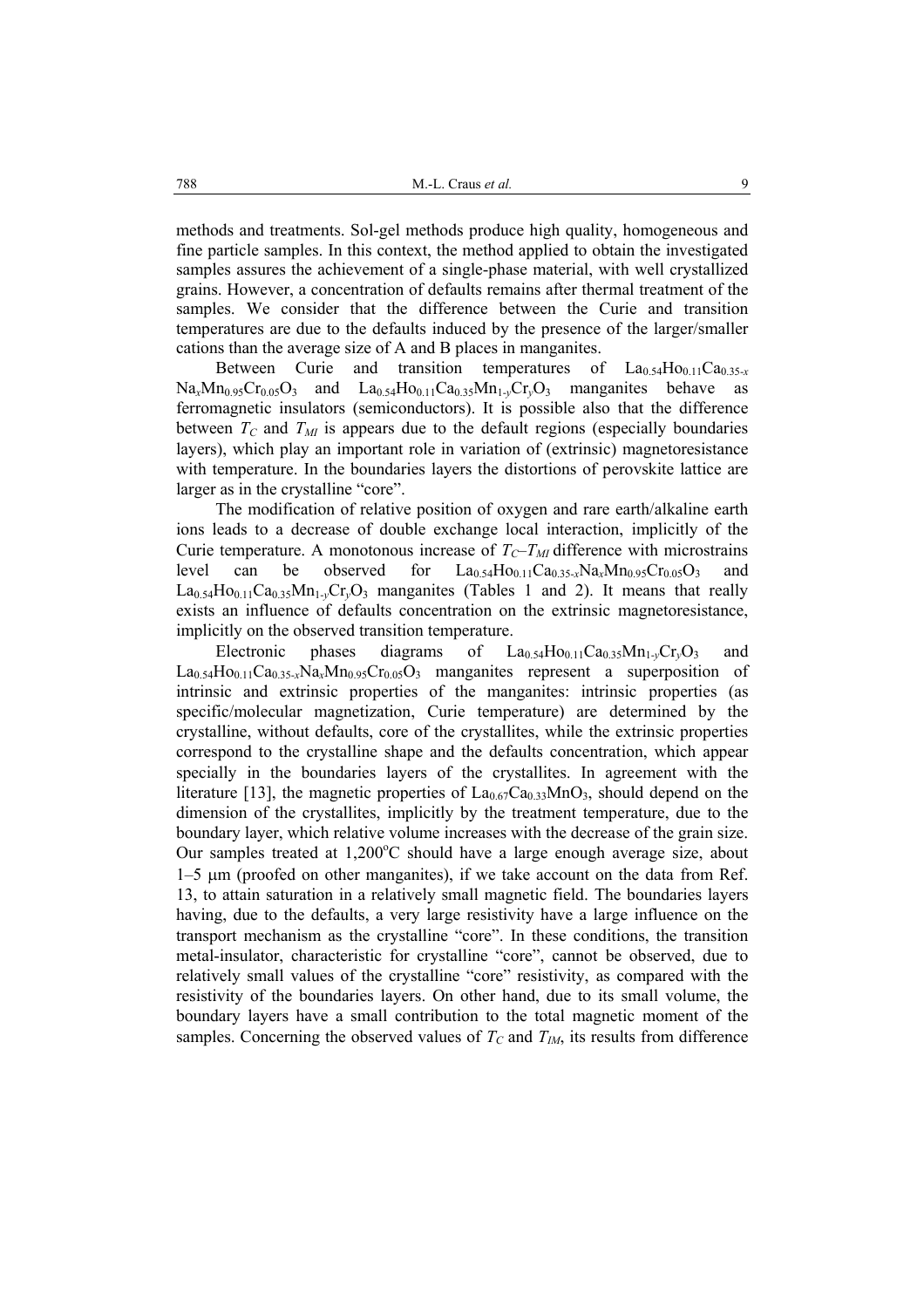methods and treatments. Sol-gel methods produce high quality, homogeneous and fine particle samples. In this context, the method applied to obtain the investigated samples assures the achievement of a single-phase material, with well crystallized grains. However, a concentration of defaults remains after thermal treatment of the samples. We consider that the difference between the Curie and transition temperatures are due to the defaults induced by the presence of the larger/smaller cations than the average size of A and B places in manganites.

Between Curie and transition temperatures of La<sub>0.54</sub>H<sub>O0.11</sub>Ca<sub>0.35-*x*</sub>  $Na<sub>x</sub>Mn<sub>0.95</sub>Cr<sub>0.05</sub>O<sub>3</sub>$  and  $La<sub>0.54</sub>Ho<sub>0.11</sub>Ca<sub>0.35</sub>Mn<sub>1-y</sub>Cr<sub>y</sub>O<sub>3</sub>$  manganites behave as ferromagnetic insulators (semiconductors). It is possible also that the difference between  $T_c$  and  $T_M$  is appears due to the default regions (especially boundaries layers), which play an important role in variation of (extrinsic) magnetoresistance with temperature. In the boundaries layers the distortions of perovskite lattice are larger as in the crystalline "core".

The modification of relative position of oxygen and rare earth/alkaline earth ions leads to a decrease of double exchange local interaction, implicitly of the Curie temperature. A monotonous increase of  $T_c-T_M$  difference with microstrains level can be observed for  $La_{0.54}Ho_{0.11}Ca_{0.35-x}Na_xMn_{0.95}Cr_{0.05}O_3$  $La<sub>0.54</sub>Ho<sub>0.11</sub>Ca<sub>0.35</sub>Mn<sub>1\nu</sub>Cr<sub>v</sub>O<sub>3</sub> manganites (Tables 1 and 2). It means that really$ exists an influence of defaults concentration on the extrinsic magnetoresistance, implicitly on the observed transition temperature.

Electronic phases diagrams of  $La_{0.54}Ho_{0.11}Ca_{0.35}Mn_{1\nu}Cr_{\nu}O_3$  and  $La<sub>0.54</sub>Ho<sub>0.11</sub>Ca<sub>0.35-x</sub>Na<sub>x</sub>Mn<sub>0.95</sub>Cr<sub>0.05</sub>O<sub>3</sub> manganites represent a superposition of$ intrinsic and extrinsic properties of the manganites: intrinsic properties (as specific/molecular magnetization, Curie temperature) are determined by the crystalline, without defaults, core of the crystallites, while the extrinsic properties correspond to the crystalline shape and the defaults concentration, which appear specially in the boundaries layers of the crystallites. In agreement with the literature [13], the magnetic properties of  $La_{0.67}Ca_{0.33}MnO_3$ , should depend on the dimension of the crystallites, implicitly by the treatment temperature, due to the boundary layer, which relative volume increases with the decrease of the grain size. Our samples treated at  $1,200^{\circ}$ C should have a large enough average size, about 1–5 µm (proofed on other manganites), if we take account on the data from Ref. 13, to attain saturation in a relatively small magnetic field. The boundaries layers having, due to the defaults, a very large resistivity have a large influence on the transport mechanism as the crystalline "core". In these conditions, the transition metal-insulator, characteristic for crystalline "core", cannot be observed, due to relatively small values of the crystalline "core" resistivity, as compared with the resistivity of the boundaries layers. On other hand, due to its small volume, the boundary layers have a small contribution to the total magnetic moment of the samples. Concerning the observed values of  $T_c$  and  $T_M$ , its results from difference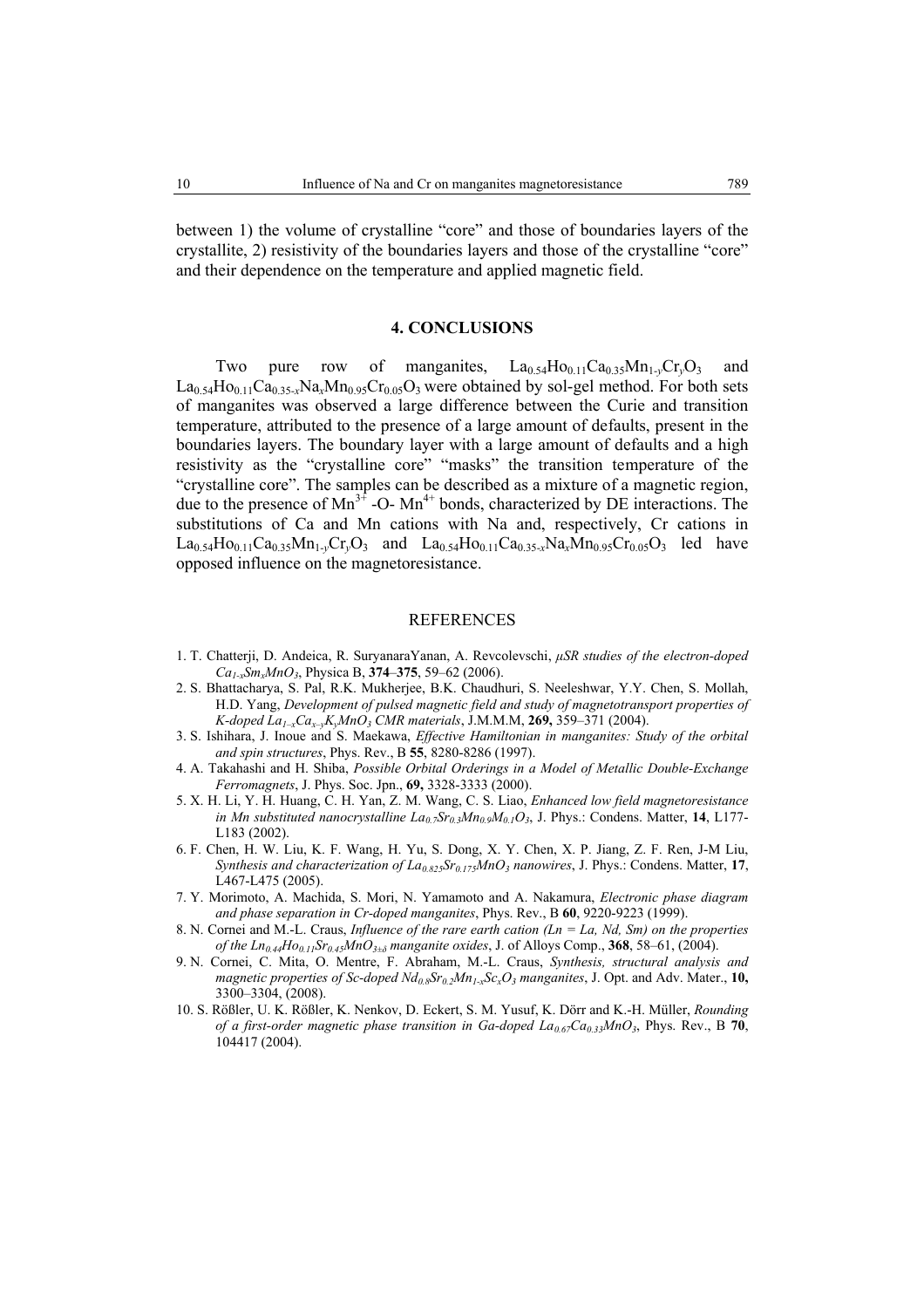between 1) the volume of crystalline "core" and those of boundaries layers of the crystallite, 2) resistivity of the boundaries layers and those of the crystalline "core" and their dependence on the temperature and applied magnetic field.

## **4. CONCLUSIONS**

Two pure row of manganites,  $La_{0.54}Ho_{0.11}Ca_{0.35}Mn_{1\nu}Cr_{\nu}O_3$  and  $La<sub>0.54</sub>H<sub>0.11</sub>Ca<sub>0.35-x</sub>Na<sub>x</sub>Mn<sub>0.95</sub>Cr<sub>0.05</sub>O<sub>3</sub>$  were obtained by sol-gel method. For both sets of manganites was observed a large difference between the Curie and transition temperature, attributed to the presence of a large amount of defaults, present in the boundaries layers. The boundary layer with a large amount of defaults and a high resistivity as the "crystalline core" "masks" the transition temperature of the "crystalline core". The samples can be described as a mixture of a magnetic region, due to the presence of  $Mn^{3+}$  -O-  $Mn^{4+}$  bonds, characterized by DE interactions. The substitutions of Ca and Mn cations with Na and, respectively, Cr cations in  $La_{0.54}Ho_{0.11}Ca_{0.35}Mn_{1\nu}Cr_{v}O_3$  and  $La_{0.54}Ho_{0.11}Ca_{0.35\nu}Na_{x}Mn_{0.95}Cr_{0.05}O_3$  led have opposed influence on the magnetoresistance.

## REFERENCES

- 1. T. Chatterji, D. Andeica, R. SuryanaraYanan, A. Revcolevschi, *µSR studies of the electron-doped Ca1-xSmxMnO3*, Physica B, **374**–**375**, 59–62 (2006).
- 2. S. Bhattacharya, S. Pal, R.K. Mukherjee, B.K. Chaudhuri, S. Neeleshwar, Y.Y. Chen, S. Mollah, H.D. Yang, *Development of pulsed magnetic field and study of magnetotransport properties of K-doped La1–xCax–yKyMnO3 CMR materials*, J.M.M.M, **269,** 359–371 (2004).
- 3. S. Ishihara, J. Inoue and S. Maekawa, *Effective Hamiltonian in manganites: Study of the orbital and spin structures*, Phys. Rev., B **55**, 8280-8286 (1997).
- 4. A. Takahashi and H. Shiba, *Possible Orbital Orderings in a Model of Metallic Double-Exchange Ferromagnets*, J. Phys. Soc. Jpn., **69,** 3328-3333 (2000).
- 5. X. H. Li, Y. H. Huang, C. H. Yan, Z. M. Wang, C. S. Liao, *Enhanced low field magnetoresistance in Mn substituted nanocrystalline*  $La_{0.7}Sr_{0.3}Mn_{0.9}M_{0.1}O_3$ *, J. Phys.: Condens. Matter, 14, L177-*L183 (2002).
- 6. F. Chen, H. W. Liu, K. F. Wang, H. Yu, S. Dong, X. Y. Chen, X. P. Jiang, Z. F. Ren, J-M Liu, *Synthesis and characterization of La0.825Sr0.175MnO3 nanowires*, J. Phys.: Condens. Matter, **17**, L467-L475 (2005).
- 7. Y. Morimoto, A. Machida, S. Mori, N. Yamamoto and A. Nakamura, *Electronic phase diagram and phase separation in Cr-doped manganites*, Phys. Rev., B **60**, 9220-9223 (1999).
- 8. N. Cornei and M.-L. Craus, *Influence of the rare earth cation (Ln = La, Nd, Sm) on the properties of the Ln0.44Ho0.11Sr0.45MnO3±δ manganite oxides*, J. of Alloys Comp., **368**, 58–61, (2004).
- 9. N. Cornei, C. Mita, O. Mentre, F. Abraham, M.-L. Craus, *Synthesis, structural analysis and magnetic properties of Sc-doped Nd<sub>0.8</sub>Sr<sub>0.2</sub>Mn<sub>1-x</sub>Sc<sub>x</sub>O<sub>3</sub> manganites, J. Opt. and Adv. Mater., 10,* 3300–3304, (2008).
- 10. S. Rößler, U. K. Rößler, K. Nenkov, D. Eckert, S. M. Yusuf, K. Dörr and K.-H. Müller, *Rounding of a first-order magnetic phase transition in Ga-doped La*<sub>0.67</sub>Ca<sub>0.33</sub>MnO<sub>3</sub>, Phys. Rev., B 70, 104417 (2004).